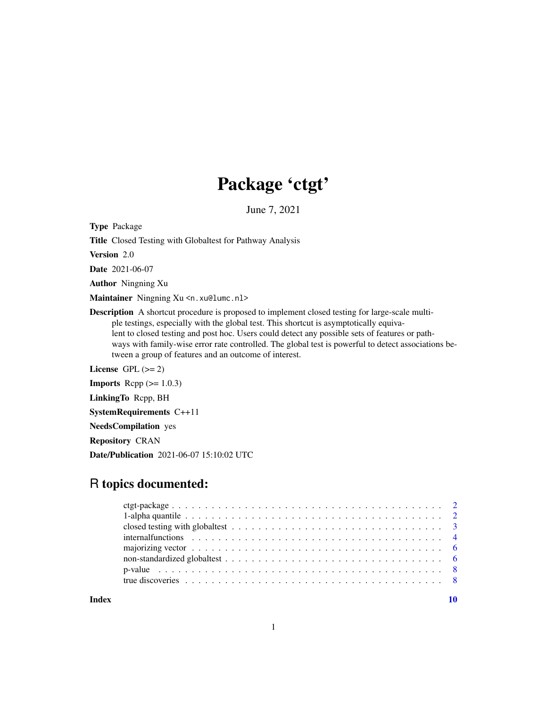## Package 'ctgt'

June 7, 2021

Type Package

Title Closed Testing with Globaltest for Pathway Analysis

Version 2.0

Date 2021-06-07

Author Ningning Xu

Maintainer Ningning Xu <n. xu@lumc.nl>

Description A shortcut procedure is proposed to implement closed testing for large-scale multiple testings, especially with the global test. This shortcut is asymptotically equivalent to closed testing and post hoc. Users could detect any possible sets of features or pathways with family-wise error rate controlled. The global test is powerful to detect associations between a group of features and an outcome of interest.

License GPL  $(>= 2)$ 

**Imports** Rcpp  $(>= 1.0.3)$ 

LinkingTo Rcpp, BH

SystemRequirements C++11

NeedsCompilation yes

Repository CRAN

Date/Publication 2021-06-07 15:10:02 UTC

## R topics documented:

| closed testing with globaltest $\dots \dots \dots \dots \dots \dots \dots \dots \dots \dots \dots \dots \dots \dots$ |  |
|----------------------------------------------------------------------------------------------------------------------|--|
|                                                                                                                      |  |
|                                                                                                                      |  |
|                                                                                                                      |  |
|                                                                                                                      |  |
|                                                                                                                      |  |
|                                                                                                                      |  |

 $\blacksquare$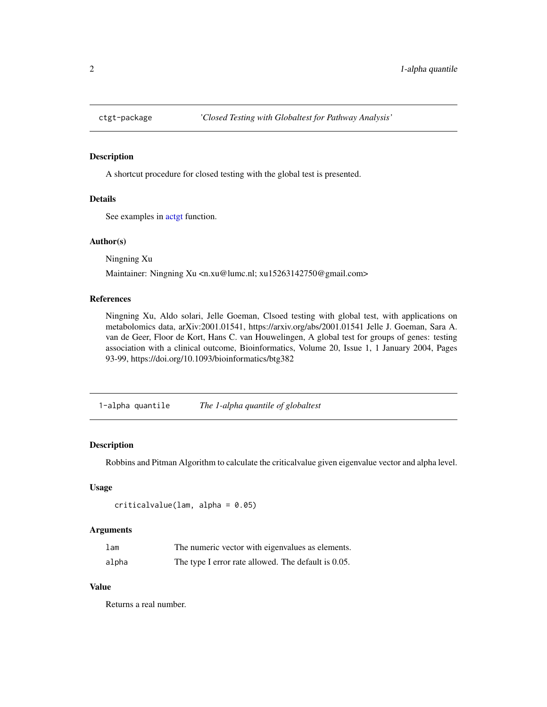<span id="page-1-0"></span>

## Description

A shortcut procedure for closed testing with the global test is presented.

## Details

See examples in [actgt](#page-2-1) function.

## Author(s)

Ningning Xu

Maintainer: Ningning Xu <n.xu@lumc.nl; xu15263142750@gmail.com>

## References

Ningning Xu, Aldo solari, Jelle Goeman, Clsoed testing with global test, with applications on metabolomics data, arXiv:2001.01541, https://arxiv.org/abs/2001.01541 Jelle J. Goeman, Sara A. van de Geer, Floor de Kort, Hans C. van Houwelingen, A global test for groups of genes: testing association with a clinical outcome, Bioinformatics, Volume 20, Issue 1, 1 January 2004, Pages 93-99, https://doi.org/10.1093/bioinformatics/btg382

1-alpha quantile *The 1-alpha quantile of globaltest*

#### Description

Robbins and Pitman Algorithm to calculate the criticalvalue given eigenvalue vector and alpha level.

#### Usage

```
criticalvalue(lam, alpha = 0.05)
```
#### Arguments

| 1 <sub>am</sub> | The numeric vector with eigenvalues as elements.    |
|-----------------|-----------------------------------------------------|
| alpha           | The type I error rate allowed. The default is 0.05. |

#### Value

Returns a real number.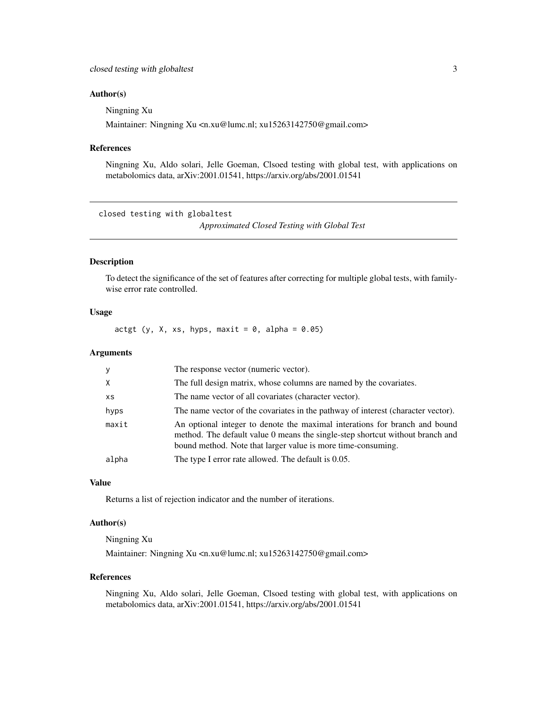#### <span id="page-2-0"></span>Author(s)

Ningning Xu

Maintainer: Ningning Xu <n.xu@lumc.nl; xu15263142750@gmail.com>

## References

Ningning Xu, Aldo solari, Jelle Goeman, Clsoed testing with global test, with applications on metabolomics data, arXiv:2001.01541, https://arxiv.org/abs/2001.01541

closed testing with globaltest

*Approximated Closed Testing with Global Test*

#### <span id="page-2-1"></span>Description

To detect the significance of the set of features after correcting for multiple global tests, with familywise error rate controlled.

## Usage

actgt (y, X, xs, hyps, maxit =  $0$ , alpha =  $0.05$ )

## Arguments

| <b>V</b> | The response vector (numeric vector).                                                                                                                                                                                       |
|----------|-----------------------------------------------------------------------------------------------------------------------------------------------------------------------------------------------------------------------------|
| $\times$ | The full design matrix, whose columns are named by the covariates.                                                                                                                                                          |
| XS       | The name vector of all covariates (character vector).                                                                                                                                                                       |
| hyps     | The name vector of the covariates in the pathway of interest (character vector).                                                                                                                                            |
| maxit    | An optional integer to denote the maximal interations for branch and bound<br>method. The default value 0 means the single-step shortcut without branch and<br>bound method. Note that larger value is more time-consuming. |
| alpha    | The type I error rate allowed. The default is 0.05.                                                                                                                                                                         |

#### Value

Returns a list of rejection indicator and the number of iterations.

## Author(s)

Ningning Xu Maintainer: Ningning Xu <n.xu@lumc.nl; xu15263142750@gmail.com>

#### References

Ningning Xu, Aldo solari, Jelle Goeman, Clsoed testing with global test, with applications on metabolomics data, arXiv:2001.01541, https://arxiv.org/abs/2001.01541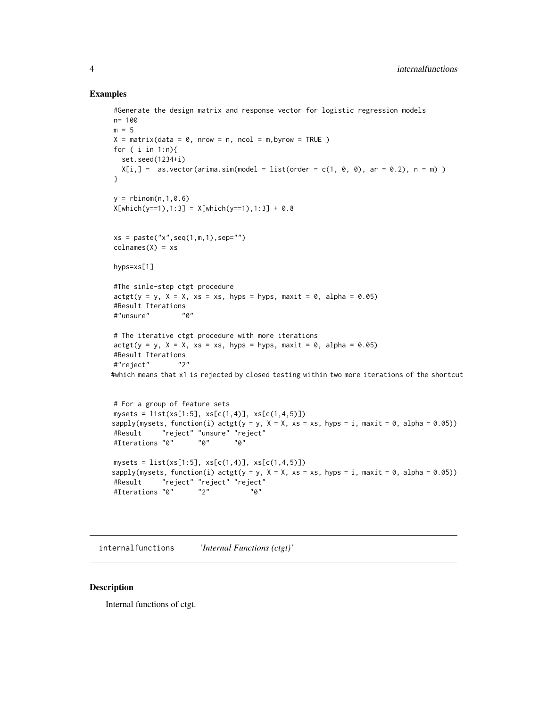#### Examples

```
#Generate the design matrix and response vector for logistic regression models
n= 100
m = 5X = matrix(data = 0, nrow = n, ncol = m, byrow = TRUE)for ( i in 1:n){
  set.seed(1234+i)
  X[i, ] = as.vector(arima.sim(model = list(order = c(1, 0, 0), ar = 0.2), n = m))
}
y = rbinom(n, 1, 0.6)
X[which(y==1),1:3] = X[which(y==1),1:3] + 0.8xs = paste("x", seq(1, m, 1), sep="")colnames(X) = xshyps=xs[1]
#The sinle-step ctgt procedure
\text{actgt}(y = y, X = X, xs = xs, hyps = hyps, maxit = 0, alpha = 0.05)#Result Iterations
#"unsure" "0"
# The iterative ctgt procedure with more iterations
\text{actgt}(y = y, X = X, xs = xs, hyps = hyps, maxit = 0, alpha = 0.05)#Result Iterations
#"reject" "2"
#which means that x1 is rejected by closed testing within two more iterations of the shortcut
# For a group of feature sets
mysets = list(xs[1:5], xs[c(1,4)], xs[c(1,4,5)])sapply(mysets, function(i) \text{actgt}(y = y, X = X, xs = xs, hyps = i, maxit = 0, alpha = 0.05))
#Result "reject" "unsure" "reject"
#Iterations "0" "0" "0"
mysets = list(xs[1:5], xs[c(1,4)], xs[c(1,4,5)])
```

```
sapply(mysets, function(i) \text{actgt}(y = y, X = X, xs = xs, hyps = i, maxit = 0, alpha = 0.05))
#Result "reject" "reject" "reject"
#Iterations "0" "2" "0"
```
internalfunctions *'Internal Functions (ctgt)'*

#### Description

Internal functions of ctgt.

<span id="page-3-0"></span>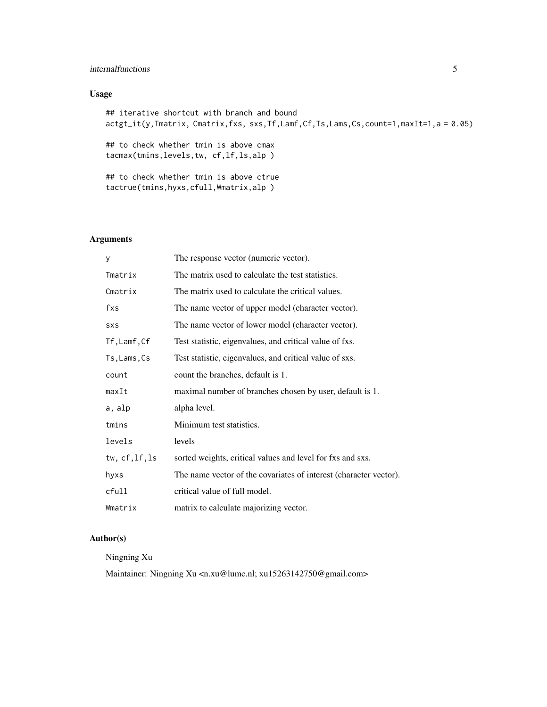## internalfunctions 5

## Usage

## iterative shortcut with branch and bound actgt\_it(y,Tmatrix, Cmatrix,fxs, sxs,Tf,Lamf,Cf,Ts,Lams,Cs,count=1,maxIt=1,a = 0.05)

## to check whether tmin is above cmax tacmax(tmins,levels,tw, cf,lf,ls,alp )

## to check whether tmin is above ctrue tactrue(tmins,hyxs,cfull,Wmatrix,alp )

## Arguments

| У                | The response vector (numeric vector).                             |
|------------------|-------------------------------------------------------------------|
| Tmatrix          | The matrix used to calculate the test statistics.                 |
| Cmatrix          | The matrix used to calculate the critical values.                 |
| fxs              | The name vector of upper model (character vector).                |
| SXS              | The name vector of lower model (character vector).                |
| Tf,Lamf,Cf       | Test statistic, eigenvalues, and critical value of fxs.           |
| Ts, Lams, Cs     | Test statistic, eigenvalues, and critical value of sxs.           |
| count            | count the branches, default is 1.                                 |
| maxIt            | maximal number of branches chosen by user, default is 1.          |
| a, alp           | alpha level.                                                      |
| tmins            | Minimum test statistics.                                          |
| levels           | levels                                                            |
| tw, $cf, 1f, 1s$ | sorted weights, critical values and level for fxs and sxs.        |
| hyxs             | The name vector of the covariates of interest (character vector). |
| cfull            | critical value of full model.                                     |
| Wmatrix          | matrix to calculate majorizing vector.                            |

## Author(s)

Ningning Xu

Maintainer: Ningning Xu <n.xu@lumc.nl; xu15263142750@gmail.com>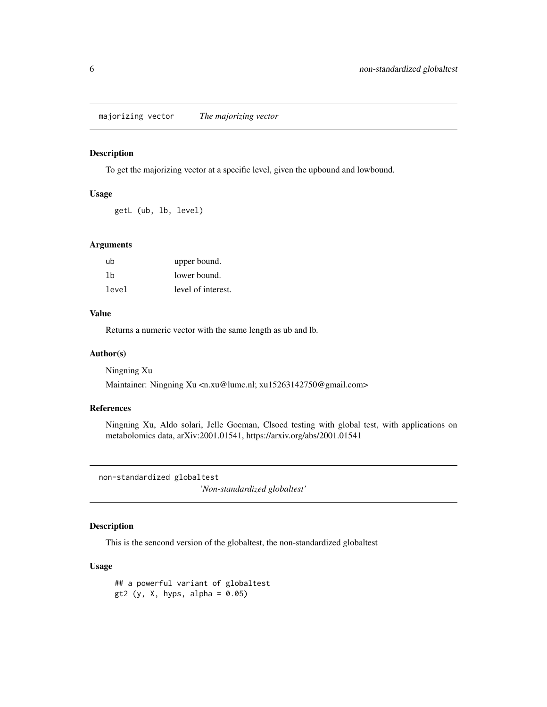<span id="page-5-0"></span>majorizing vector *The majorizing vector*

## Description

To get the majorizing vector at a specific level, given the upbound and lowbound.

## Usage

getL (ub, lb, level)

## Arguments

| ub    | upper bound.       |
|-------|--------------------|
| 1b    | lower bound.       |
| level | level of interest. |

## Value

Returns a numeric vector with the same length as ub and lb.

## Author(s)

Ningning Xu

Maintainer: Ningning Xu <n.xu@lumc.nl; xu15263142750@gmail.com>

## References

Ningning Xu, Aldo solari, Jelle Goeman, Clsoed testing with global test, with applications on metabolomics data, arXiv:2001.01541, https://arxiv.org/abs/2001.01541

non-standardized globaltest

*'Non-standardized globaltest'*

## Description

This is the sencond version of the globaltest, the non-standardized globaltest

## Usage

## a powerful variant of globaltest gt2 (y, X, hyps, alpha =  $0.05$ )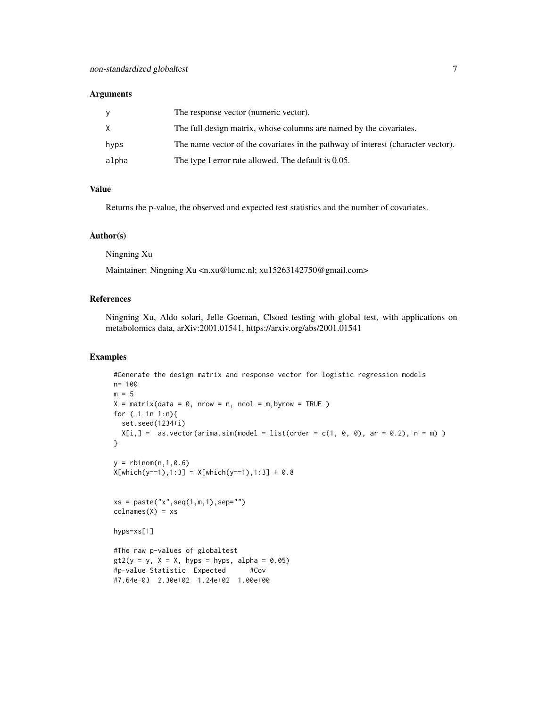#### **Arguments**

| <b>V</b> | The response vector (numeric vector).                                            |
|----------|----------------------------------------------------------------------------------|
| X        | The full design matrix, whose columns are named by the covariates.               |
| hyps     | The name vector of the covariates in the pathway of interest (character vector). |
| alpha    | The type I error rate allowed. The default is 0.05.                              |

## Value

Returns the p-value, the observed and expected test statistics and the number of covariates.

## Author(s)

Ningning Xu

Maintainer: Ningning Xu <n.xu@lumc.nl; xu15263142750@gmail.com>

## References

Ningning Xu, Aldo solari, Jelle Goeman, Clsoed testing with global test, with applications on metabolomics data, arXiv:2001.01541, https://arxiv.org/abs/2001.01541

#### Examples

```
#Generate the design matrix and response vector for logistic regression models
n= 100
m = 5X = matrix(data = 0, nrow = n, ncol = m, byrow = TRUE)for ( i in 1:n){
 set.seed(1234+i)
 X[i,] = as.vector(arima.sim(model = list(order = c(1, 0, 0), ar = 0.2), n = m) )
}
y = rbinom(n, 1, 0.6)
X[which(y==1),1:3] = X[which(y==1),1:3] + 0.8xs = paste("x", seq(1, m, 1), sep='")colnames(X) = xshyps=xs[1]
#The raw p-values of globaltest
gt2(y = y, X = X, hyps = hyps, alpha = 0.05)#p-value Statistic Expected #Cov
#7.64e-03 2.30e+02 1.24e+02 1.00e+00
```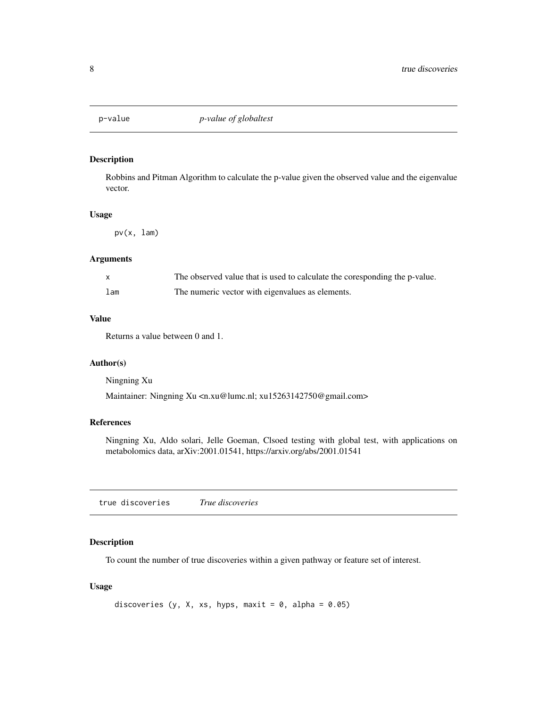<span id="page-7-0"></span>

## Description

Robbins and Pitman Algorithm to calculate the p-value given the observed value and the eigenvalue vector.

## Usage

pv(x, lam)

#### Arguments

|     | The observed value that is used to calculate the coresponding the p-value. |
|-----|----------------------------------------------------------------------------|
| lam | The numeric vector with eigenvalues as elements.                           |

## Value

Returns a value between 0 and 1.

## Author(s)

Ningning Xu

Maintainer: Ningning Xu <n.xu@lumc.nl; xu15263142750@gmail.com>

## References

Ningning Xu, Aldo solari, Jelle Goeman, Clsoed testing with global test, with applications on metabolomics data, arXiv:2001.01541, https://arxiv.org/abs/2001.01541

true discoveries *True discoveries*

## Description

To count the number of true discoveries within a given pathway or feature set of interest.

#### Usage

```
discoveries (y, X, xs, hyps, maxit = 0, alpha = 0.05)
```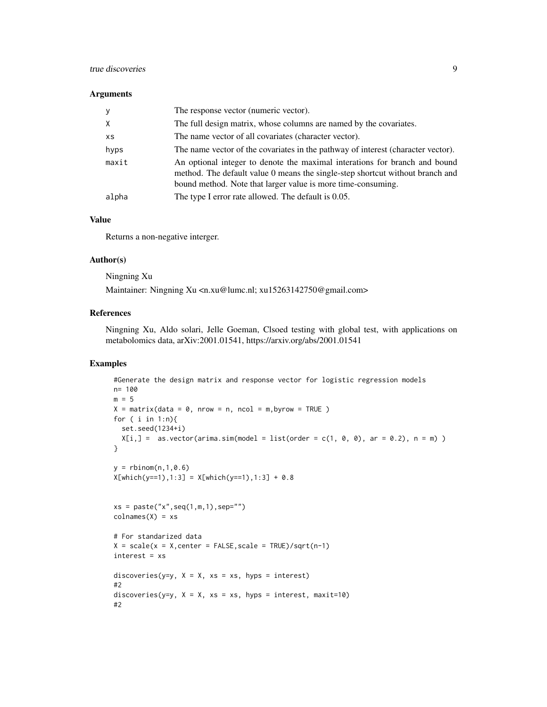## true discoveries 9

#### Arguments

| <b>V</b>  | The response vector (numeric vector).                                                                                                                                                                                       |
|-----------|-----------------------------------------------------------------------------------------------------------------------------------------------------------------------------------------------------------------------------|
| X         | The full design matrix, whose columns are named by the covariates.                                                                                                                                                          |
| <b>XS</b> | The name vector of all covariates (character vector).                                                                                                                                                                       |
| hyps      | The name vector of the covariates in the pathway of interest (character vector).                                                                                                                                            |
| maxit     | An optional integer to denote the maximal interations for branch and bound<br>method. The default value 0 means the single-step shortcut without branch and<br>bound method. Note that larger value is more time-consuming. |
| alpha     | The type I error rate allowed. The default is 0.05.                                                                                                                                                                         |

## Value

Returns a non-negative interger.

## Author(s)

Ningning Xu

Maintainer: Ningning Xu <n.xu@lumc.nl; xu15263142750@gmail.com>

## References

Ningning Xu, Aldo solari, Jelle Goeman, Clsoed testing with global test, with applications on metabolomics data, arXiv:2001.01541, https://arxiv.org/abs/2001.01541

## Examples

```
#Generate the design matrix and response vector for logistic regression models
n= 100
m = 5X = matrix(data = 0, nrow = n, ncol = m, byrow = TRUE)for ( i in 1:n){
 set.seed(1234+i)
 X[i, ] = as.vector(arima.sim(model = list(order = c(1, 0, 0), ar = 0.2), n = m) )}
y = rbinom(n, 1,0.6)
X[which(y==1),1:3] = X[which(y==1),1:3] + 0.8xs = paste("x", seq(1, m, 1), sep="")colnames(X) = xs# For standarized data
X = scale(x = X, center = FALSE, scale = TRUE)/sqrt(n-1)interest = xs
discoveries(y=y, X = X, xs = xs, hyps = interest)
#2
discoveries(y=y, X = X, xs = xs, hyps = interest, maxit=10)
#2
```